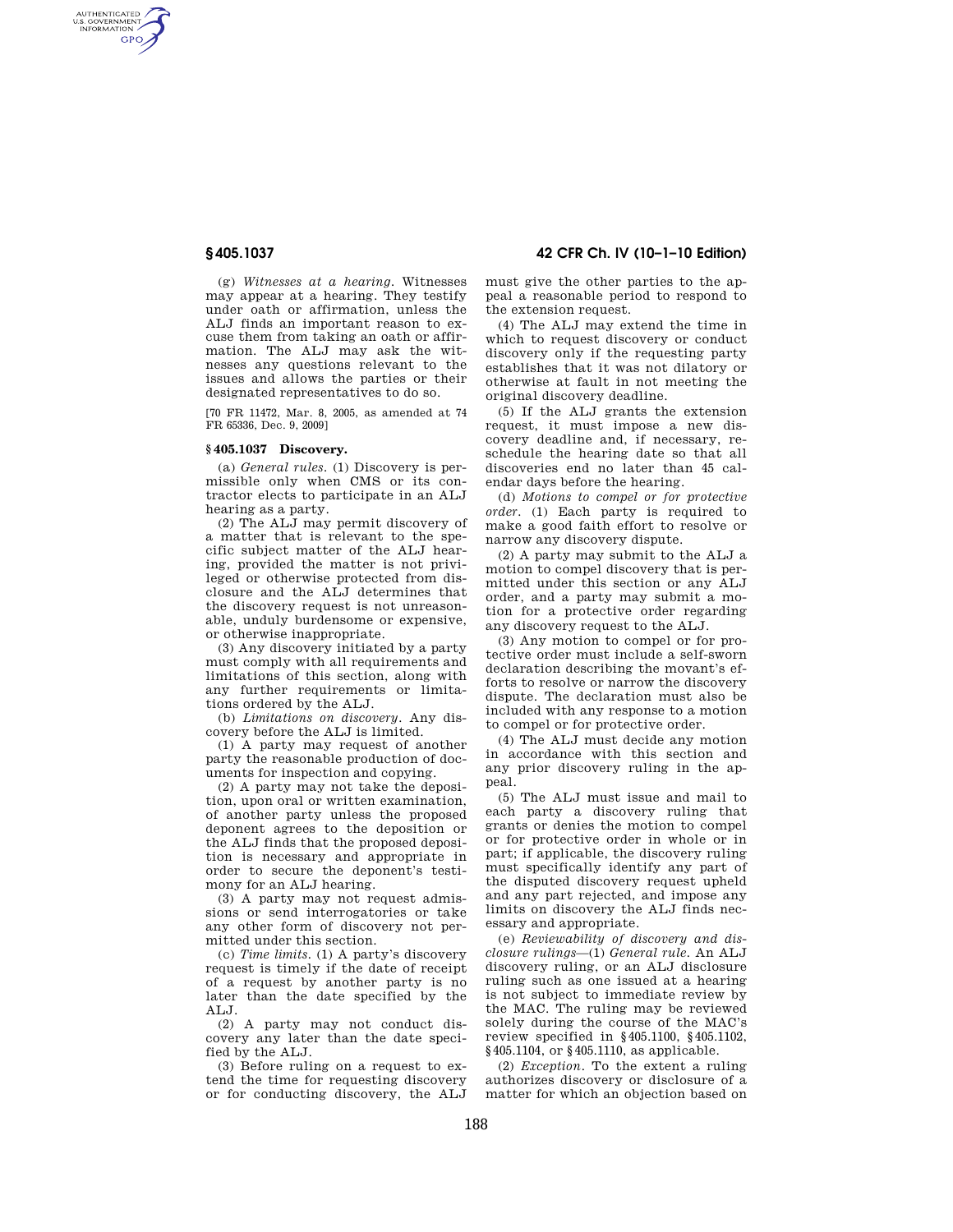AUTHENTICATED<br>U.S. GOVERNMENT<br>INFORMATION **GPO** 

**§ 405.1037 42 CFR Ch. IV (10–1–10 Edition)** 

(g) *Witnesses at a hearing.* Witnesses may appear at a hearing. They testify under oath or affirmation, unless the ALJ finds an important reason to excuse them from taking an oath or affirmation. The ALJ may ask the witnesses any questions relevant to the issues and allows the parties or their designated representatives to do so.

[70 FR 11472, Mar. 8, 2005, as amended at 74 FR 65336, Dec. 9, 2009]

### **§ 405.1037 Discovery.**

(a) *General rules.* (1) Discovery is permissible only when CMS or its contractor elects to participate in an ALJ hearing as a party.

(2) The ALJ may permit discovery of a matter that is relevant to the specific subject matter of the ALJ hearing, provided the matter is not privileged or otherwise protected from disclosure and the ALJ determines that the discovery request is not unreasonable, unduly burdensome or expensive, or otherwise inappropriate.

(3) Any discovery initiated by a party must comply with all requirements and limitations of this section, along with any further requirements or limitations ordered by the ALJ.

(b) *Limitations on discovery.* Any discovery before the ALJ is limited.

(1) A party may request of another party the reasonable production of documents for inspection and copying.

(2) A party may not take the deposition, upon oral or written examination, of another party unless the proposed deponent agrees to the deposition or the ALJ finds that the proposed deposition is necessary and appropriate in order to secure the deponent's testimony for an ALJ hearing.

(3) A party may not request admissions or send interrogatories or take any other form of discovery not permitted under this section.

(c) *Time limits.* (1) A party's discovery request is timely if the date of receipt of a request by another party is no later than the date specified by the ALJ.

(2) A party may not conduct discovery any later than the date specified by the ALJ.

(3) Before ruling on a request to extend the time for requesting discovery or for conducting discovery, the ALJ must give the other parties to the appeal a reasonable period to respond to the extension request.

(4) The ALJ may extend the time in which to request discovery or conduct discovery only if the requesting party establishes that it was not dilatory or otherwise at fault in not meeting the original discovery deadline.

(5) If the ALJ grants the extension request, it must impose a new discovery deadline and, if necessary, reschedule the hearing date so that all discoveries end no later than 45 calendar days before the hearing.

(d) *Motions to compel or for protective order.* (1) Each party is required to make a good faith effort to resolve or narrow any discovery dispute.

(2) A party may submit to the ALJ a motion to compel discovery that is permitted under this section or any ALJ order, and a party may submit a motion for a protective order regarding any discovery request to the ALJ.

(3) Any motion to compel or for protective order must include a self-sworn declaration describing the movant's efforts to resolve or narrow the discovery dispute. The declaration must also be included with any response to a motion to compel or for protective order.

(4) The ALJ must decide any motion in accordance with this section and any prior discovery ruling in the appeal.

(5) The ALJ must issue and mail to each party a discovery ruling that grants or denies the motion to compel or for protective order in whole or in part; if applicable, the discovery ruling must specifically identify any part of the disputed discovery request upheld and any part rejected, and impose any limits on discovery the ALJ finds necessary and appropriate.

(e) *Reviewability of discovery and disclosure rulings*—(1) *General rule.* An ALJ discovery ruling, or an ALJ disclosure ruling such as one issued at a hearing is not subject to immediate review by the MAC. The ruling may be reviewed solely during the course of the MAC's review specified in §405.1100, §405.1102, §405.1104, or §405.1110, as applicable.

(2) *Exception.* To the extent a ruling authorizes discovery or disclosure of a matter for which an objection based on